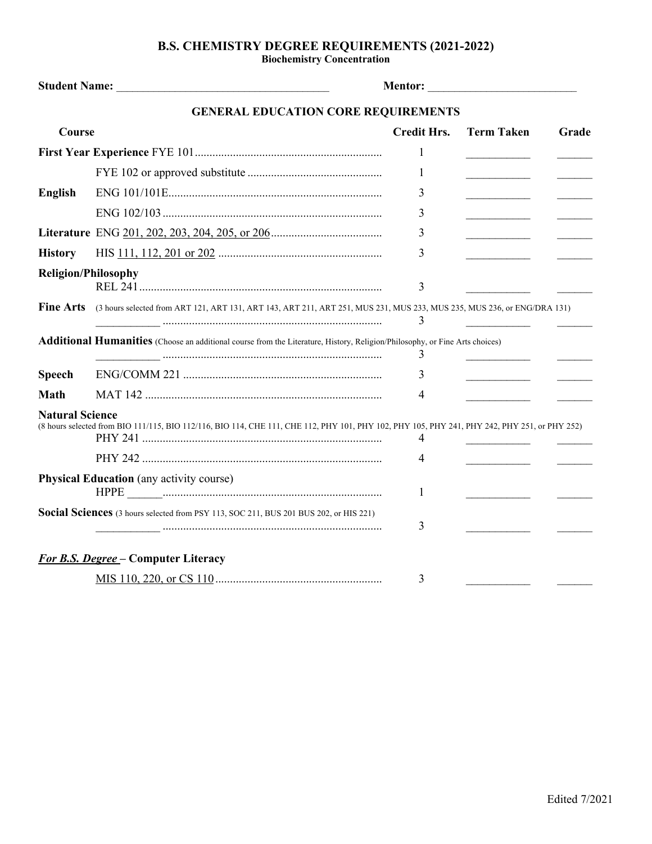## **B.S. CHEMISTRY DEGREE REQUIREMENTS (2021-2022)**

**Biochemistry Concentration**

|                            | <b>GENERAL EDUCATION CORE REQUIREMENTS</b>                                                                                                    |                    |                                                 |       |
|----------------------------|-----------------------------------------------------------------------------------------------------------------------------------------------|--------------------|-------------------------------------------------|-------|
| Course                     |                                                                                                                                               | <b>Credit Hrs.</b> | <b>Term Taken</b>                               | Grade |
|                            |                                                                                                                                               | 1                  |                                                 |       |
|                            |                                                                                                                                               | 1                  |                                                 |       |
| <b>English</b>             |                                                                                                                                               | 3                  | <u> 1990 - Johann Barbara, martin a</u>         |       |
|                            |                                                                                                                                               | 3                  |                                                 |       |
|                            |                                                                                                                                               | 3                  | <u> 1990 - Johann Barbara, martin a</u>         |       |
| <b>History</b>             |                                                                                                                                               | 3                  | <u> 1989 - Johann Barnett, fransk politiker</u> |       |
| <b>Religion/Philosophy</b> |                                                                                                                                               | 3                  |                                                 |       |
| <b>Fine Arts</b>           | (3 hours selected from ART 121, ART 131, ART 143, ART 211, ART 251, MUS 231, MUS 233, MUS 235, MUS 236, or ENG/DRA 131)                       | 3                  |                                                 |       |
|                            | Additional Humanities (Choose an additional course from the Literature, History, Religion/Philosophy, or Fine Arts choices)                   | 3                  |                                                 |       |
| <b>Speech</b>              |                                                                                                                                               | 3                  |                                                 |       |
| <b>Math</b>                |                                                                                                                                               | 4                  |                                                 |       |
| <b>Natural Science</b>     | (8 hours selected from BIO 111/115, BIO 112/116, BIO 114, CHE 111, CHE 112, PHY 101, PHY 102, PHY 105, PHY 241, PHY 242, PHY 251, or PHY 252) | 4<br>4             |                                                 |       |
|                            | <b>Physical Education</b> (any activity course)                                                                                               | 1                  |                                                 |       |
|                            | Social Sciences (3 hours selected from PSY 113, SOC 211, BUS 201 BUS 202, or HIS 221)                                                         | 3                  |                                                 |       |
|                            | <b>For B.S. Degree – Computer Literacy</b>                                                                                                    |                    |                                                 |       |
|                            |                                                                                                                                               | 3                  |                                                 |       |